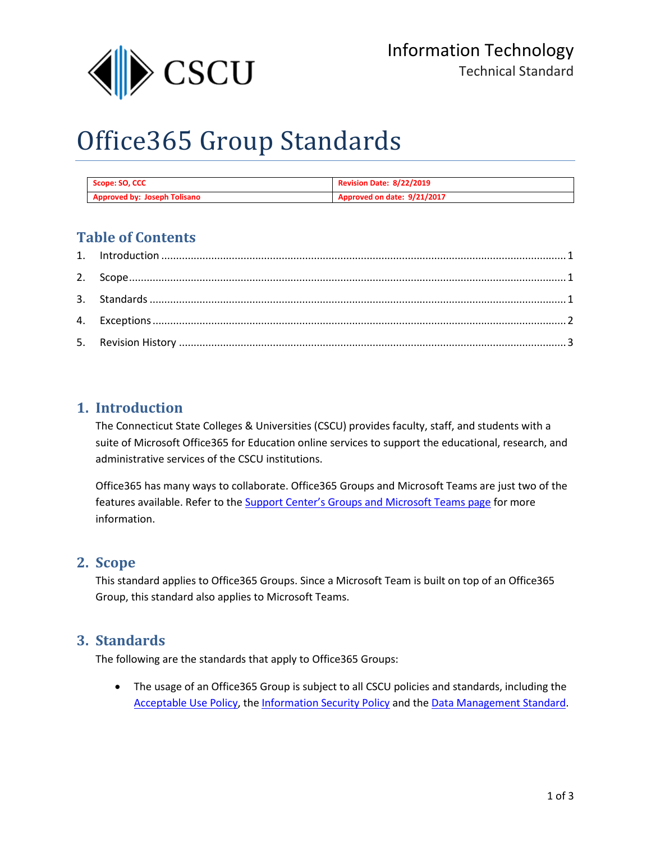

# Office365 Group Standards

| Scope: SO, CCC                      | <b>Revision Date: 8/22/2019</b> |
|-------------------------------------|---------------------------------|
| <b>Approved by: Joseph Tolisano</b> | Approved on date: 9/21/2017     |

## **Table of Contents**

### <span id="page-0-0"></span>**1. Introduction**

The Connecticut State Colleges & Universities (CSCU) provides faculty, staff, and students with a suite of Microsoft Office365 for Education online services to support the educational, research, and administrative services of the CSCU institutions.

Office365 has many ways to collaborate. Office365 Groups and Microsoft Teams are just two of the features available. Refer to th[e Support Center's Groups and Microsoft Teams page](http://supportcenter.ct.edu/service/Office365_Teams.asp) for more information.

#### <span id="page-0-1"></span>**2. Scope**

This standard applies to Office365 Groups. Since a Microsoft Team is built on top of an Office365 Group, this standard also applies to Microsoft Teams.

#### <span id="page-0-2"></span>**3. Standards**

The following are the standards that apply to Office365 Groups:

• The usage of an Office365 Group is subject to all CSCU policies and standards, including the [Acceptable Use Policy,](http://www.ct.edu/files/it/BOR_IT-001.pdf) the [Information Security Policy](http://www.ct.edu/files/it/BOR_IT-003.pdf) and the [Data Management Standard.](http://supportcenter.ct.edu/Service/Standards/IT-STND-001Revised.pdf)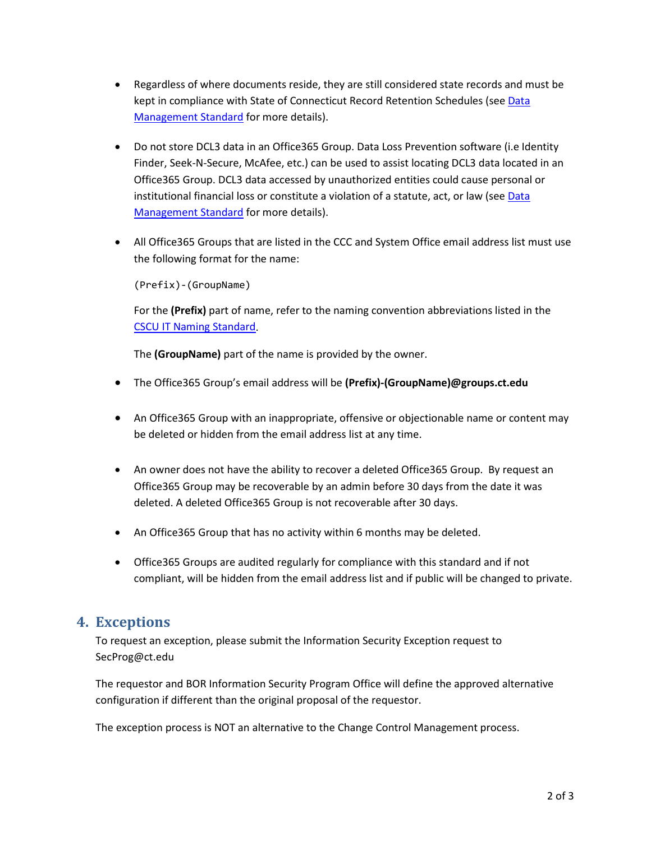- Regardless of where documents reside, they are still considered state records and must be kept in compliance with State of Connecticut Record Retention Schedules (see [Data](http://supportcenter.ct.edu/Service/Standards/IT-STND-001Revised.pdf)  [Management Standard](http://supportcenter.ct.edu/Service/Standards/IT-STND-001Revised.pdf) for more details).
- Do not store DCL3 data in an Office365 Group. Data Loss Prevention software (i.e Identity Finder, Seek-N-Secure, McAfee, etc.) can be used to assist locating DCL3 data located in an Office365 Group. DCL3 data accessed by unauthorized entities could cause personal or institutional financial loss or constitute a violation of a statute, act, or law (se[e Data](http://supportcenter.ct.edu/Service/Standards/IT-STND-001Revised.pdf)  [Management Standard](http://supportcenter.ct.edu/Service/Standards/IT-STND-001Revised.pdf) for more details).
- All Office365 Groups that are listed in the CCC and System Office email address list must use the following format for the name:

(Prefix)-(GroupName)

For the **(Prefix)** part of name, refer to the naming convention abbreviations listed in the [CSCU IT Naming Standard.](http://supportcenter.ct.edu/service/standards/IT-NamingStandard.pdf)

The **(GroupName)** part of the name is provided by the owner.

- The Office365 Group's email address will be **(Prefix)-(GroupName)@groups.ct.edu**
- An Office365 Group with an inappropriate, offensive or objectionable name or content may be deleted or hidden from the email address list at any time.
- An owner does not have the ability to recover a deleted Office365 Group. By request an Office365 Group may be recoverable by an admin before 30 days from the date it was deleted. A deleted Office365 Group is not recoverable after 30 days.
- An Office365 Group that has no activity within 6 months may be deleted.
- Office365 Groups are audited regularly for compliance with this standard and if not compliant, will be hidden from the email address list and if public will be changed to private.

#### <span id="page-1-0"></span>**4. Exceptions**

To request an exception, please submit the Information Security Exception request to SecProg@ct.edu

The requestor and BOR Information Security Program Office will define the approved alternative configuration if different than the original proposal of the requestor.

The exception process is NOT an alternative to the Change Control Management process.